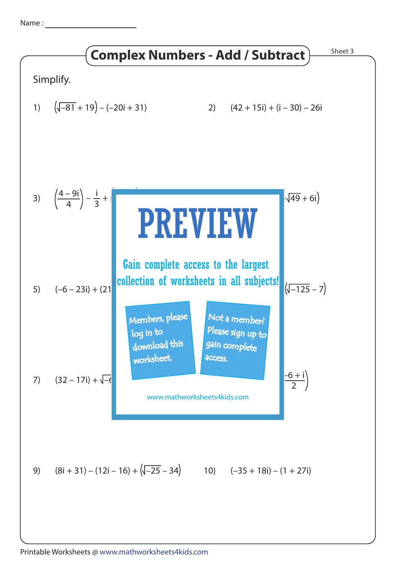